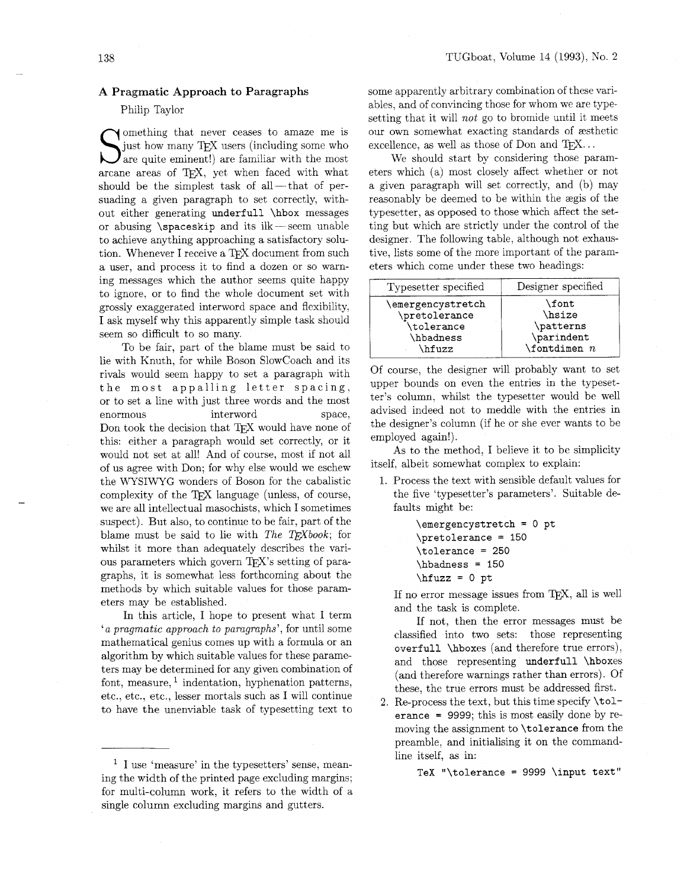## **A** Pragmatic Approach to Paragraphs

## Philip Taylor

S omething that never ceases to amaze me is just how many TEX users (including some who are quite eminent!) are familiar with the most In omething that never ceases to amaze me is just how many TEX users (including some who arcane areas of TEX, yet when faced with what should be the simplest task of all- $-$ that of persuading a given paragraph to set correctly, without either generating underfull \hbox messages or abusing  $\simeq$  spaceskip and its ilk-seem unable to achieve anything approaching a satisfactory solution. Whenever I receive a TEX document from such a user, and process it to find a dozen or so warning messages which the author seems quite happy to ignore, or to find the whole document set with grossly exaggerated interword space and flexibility, I ask myself why this apparently simple task should seem so difficult to so many.

To be fair, part of the blame must be said to lie with Knuth, for while Boson Slowcoach and its rivals would seem happy to set a paragraph with the most appalling letter spacing, or to set a line with just three words and the most enormous interword space, Don took the decision that T<sub>E</sub>X would have none of this: either a paragraph would set correctly, or it would not set at all! And of course, most if not all of us agree with Don; for why else would we eschew the WYSIWYG wonders of Boson for the cabalistic complexity of the TEX language (unless, of course, we are all intellectual masochists, which I sometimes suspect). But also, to continue to be fair, part of the blame must be said to lie with The T<sub>E</sub>Xbook; for whilst it more than adequately describes the various parameters which govern TFX's setting of paragraphs, it is somewhat less forthcoming about the graphs, it is somewhat less forthcoming about the  $\hbar$ ing  $\hbar$ ing  $\hbar$ ing error message issues from TEX, all is well eters may be established.

In this article, I hope to present what I term and the task is complete.<br> $\frac{1}{2}$  and the task is complete. Find the error messages must be<br>
'a pragmatic approach to paragraphs', for until some<br>
mathematical genius comes up with a formula or an<br>
algorithm by which suitable values for these parame-<br>
ters may be determined for any ters may be determined for any given combination of  $($ and therefore warnings rather than errors). Of font, measure,  $\frac{1}{1}$  indentation, hyphenation patterns, these, the true errors must be addressed first. etc., etc., etc., lesser mortals such as I will continue 2. Re-process the text, but this time specify \tolto have the unenviable task of typesetting text to

some apparently arbitrary combination of these variables, and of convincing those for whom we are typesetting that it will not go to bromide until it meets our own somewhat exacting standards of æsthetic excellence, as well as those of Don and  $TFX...$ 

We should start by considering those parameters which (a) most closely affect whether or not a given paragraph will set correctly, and (b) may reasonably be deemed to be within the zgis of the typesetter, as opposed to those which affect the setting but which are strictly under the control of the designer. The following table, although not exhaustive, lists some of the more important of the parameters which come under these two headings:

| Typesetter specified               | Designer specified      |
|------------------------------------|-------------------------|
| \emergencystretch<br>\pretolerance | $\lambda$ font<br>hsize |
| \tolerance                         | \patterns               |
| \hbadness                          | \parindent              |
| \hfuzz                             | $\lambda$ fontdimen $n$ |

Of course, the designer will probably want to set upper bounds on even the entries in the typesetter's column. whilst the typesetter would be well advised indeed not to meddle with the entries in the designer's column (if he or she ever wants to be employed again!).

As to the method, I believe it to be simplicity itself, albeit somewhat complex to explain:

1. Process the text with sensible default values for the five 'typesetter's parameters'. Suitable defaults might be:

```
\emergencystretch = 0 pt
\pretolerance = 150
\text{tolerance} = 250\hbaradness = 150
```
erance = 9999: this is most easily done by removing the assignment to \tolerance from the preamble, and initialising it on the commandline itself, as in:

I use 'measure' in the typesetters' sense, meaning the width of the printed page excluding margins; TeX "\tolerance = 9999 \input text" for multi-column work, it refers to the width of a single column excluding margins and gutters.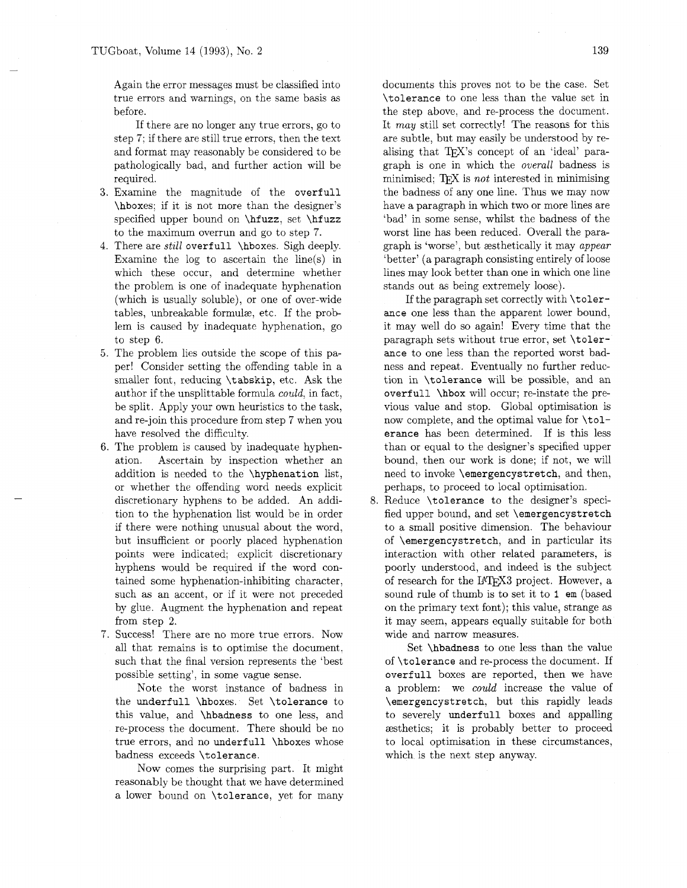Again the error messages must be classified into true errors and warnings, on the same basis as before.

If there are no longer any true errors, go to step 7; if there are still true errors. then the text and format may reasonably be considered to be pathologically bad, and further action will be required.

- 3. Examine the magnitude of the overfull \hboxes; if it is not more than the designer's specified upper bound on \hfuzz, set \hfuzz to the maximum overrun and go to step 7.
- 4. There are *still* overfull \hboxes. Sigh deeply. Examine the log to ascertain the line(s) in which these occur, and determine whether the problem is one of inadequate hyphenation (which is usually soluble), or one of over-wide tables, unbreakable formulz, etc. If the problem is caused by inadequate hyphenation, go to step 6.
- *5.* The problem lies outside the scope of this paper! Consider setting the offending table in a smaller font, reducing \tabskip, etc. Ask the author if the unsplittable formula could, in fact, be split. Apply your own heuristics to the task, and re-join this procedure from step 7 when you have resolved the difficulty.
- 6. The problem is caused by inadequate hyphenation. Ascertain by inspection whether an addition is needed to the \hyphenation list, or whether the offending word needs explicit discretionary hyphens to be added. An addition to the hyphenation list would be in order if there were nothing unusual about the word, but insufficient or poorly placed hyphenation points were indicated; explicit discretionary hyphens would be required if the word contained some hyphenation-inhibiting character, such as an accent, or if it were not preceded by glue. Augment the hyphenation and repeat from step *2.*
- 7. Success! There are no more true errors. Now all that remains is to optimise the document, such that the final version represents the 'best possible setting', in some vague sense.

Note the worst instance of badness in the underfull \hboxes. Set \tolerance to this value, and \hbadness to one less, and re-process the document. There should be no true errors, and no underfull \hboxes whose badness exceeds \tolerance.

Now comes the surprising part. It might reasonably be thought that we have determined a lower bound on \tolerance, yet for many documents this proves not to be the case. Set \tolerance to one less than the value set in the step above, and re-process the document. It may still set correctly! The reasons for this are subtle, but may easily be understood by realising that TFX's concept of an 'ideal' paragraph is one in which the overall badness is minimised;  $T_F X$  is *not* interested in minimising the badness of any one line. Thus we may now have a paragraph in which two or more lines are 'bad' in some sense, whilst the badness of the worst line has been reduced. Overall the paragraph is 'worse', but zesthetically it may appear 'better' (a paragraph consisting entirely of loose lines may look better than one in which one line stands out as being extremely loose).

If the paragraph set correctly with \tolerance one less than the apparent lower bound, it may well do so again! Every time that the paragraph sets without true error, set \tolerance to one less than the reported worst badness and repeat. Eventually no further reduction in \tolerance will be possible, and an overfull \hbox will occur; re-instate the previous value and stop. Global optimisation is now complete, and the optimal value for \tolerance has been determined. If is this less than or equal to the designer's specified upper bound, then our work is done; if not, we will need to invoke \emergencystretch, and then, perhaps, to proceed to local optimisation.

8. Reduce \tolerance to the designer's specified upper bound, and set \emergencystretch to a small positive dimension. The behaviour of \emergencystretch, and in particular its interaction with other related parameters, is poorly understood, and indeed is the subject of research for the IATFX3 project. However, a sound rule of thumb is to set it to I em (based on the primary text font); this value, strange as it may seem, appears equally suitable for both wide and narrow measures.

Set \hbadness to one less than the value of \tolerance and re-process the document. If overfull boxes are reported, then we have a problem: we could increase the value of \emergencystretch. but this rapidly leads to severely underfull boxes and appalling zesthetics; it is probably better to proceed to local optimisation in these circumstances, which is the next step anyway.